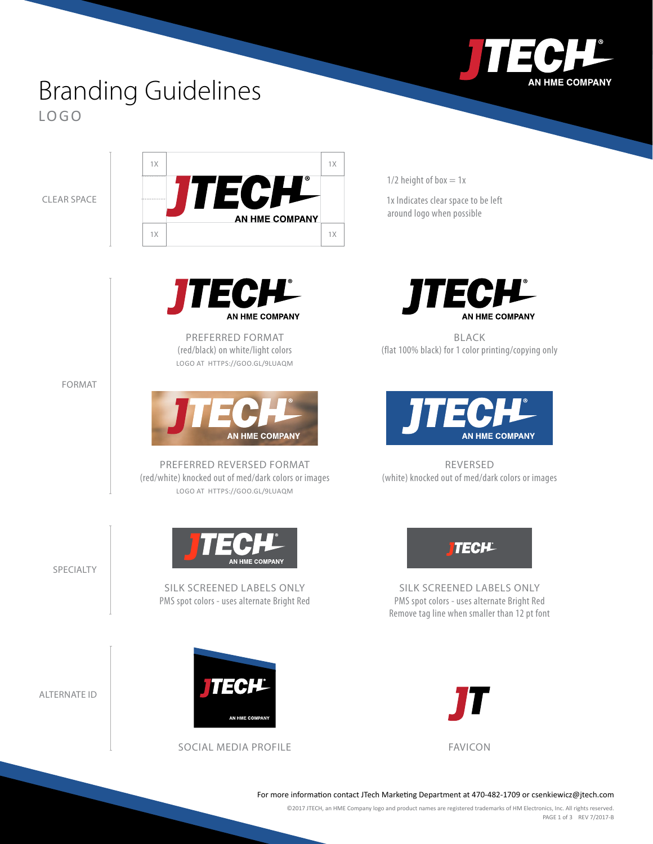

## Branding Guidelines LOGO

CLEAR SPACE





PREFERRED FORMAT (red/black) on white/light colors LOGO AT [HTTPS://GOO.GL/9LUAQM](https://goo.gl/9LuAqm)



PREFERRED REVERSED FORMAT (red/white) knocked out of med/dark colors or images LOGO AT [HTTPS://GOO.GL/9LUAQM](https://goo.gl/9LuAqm)

**AN HME COMPANY** 

SILK SCREENED LABELS ONLY PMS spot colors - uses alternate Bright Red  $1/2$  height of box = 1x

1x Indicates clear space to be left around logo when possible



BLACK (flat 100% black) for 1 color printing/copying only



REVERSED (white) knocked out of med/dark colors or images



SILK SCREENED LABELS ONLY PMS spot colors - uses alternate Bright Red Remove tag line when smaller than 12 pt font



For more information contact JTech Marketing Department at 470-482-1709 or [csenkiewicz@jtech.com](mailto:csenkiewicz@jtech.com)

©2017 JTECH, an HME Company logo and product names are registered trademarks of HM Electronics, Inc. All rights reserved. PAGE 1 of 3 REV 7/2017-B

FORMAT

SPECIALTY

ALTERNATE ID



SOCIAL MEDIA PROFILE FAVICON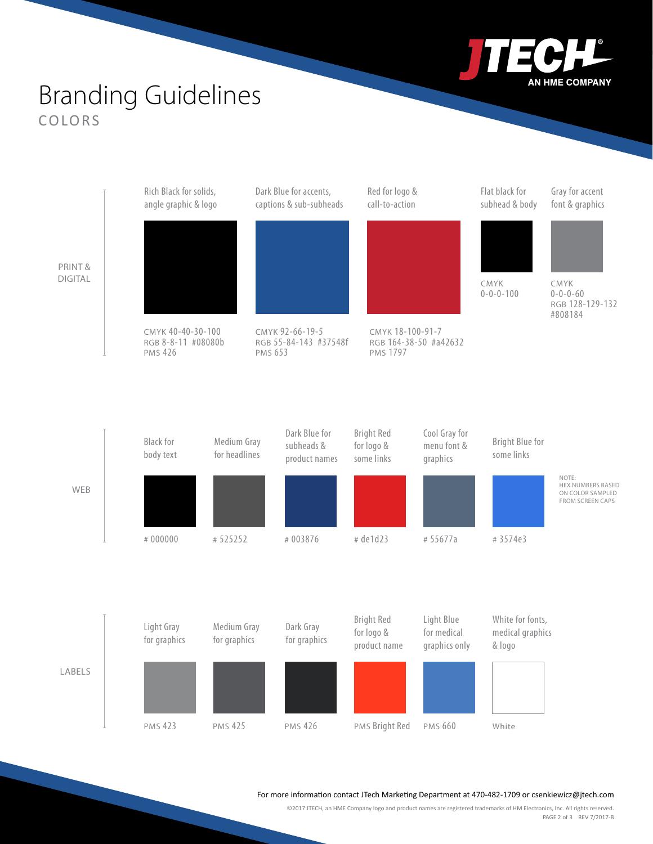

## Branding Guidelines COLORS



For more information contact JTech Marketing Department at 470-482-1709 or [csenkiewicz@jtech.com](mailto:csenkiewicz@jtech.com)

©2017 JTECH, an HME Company logo and product names are registered trademarks of HM Electronics, Inc. All rights reserved. PAGE 2 of 3 REV 7/2017-B